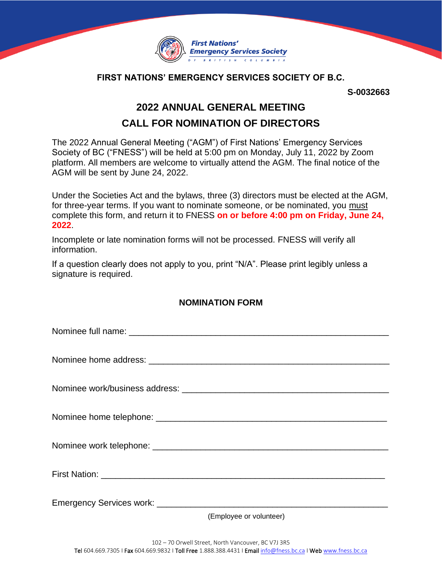

## **FIRST NATIONS' EMERGENCY SERVICES SOCIETY OF B.C.**

**S-0032663**

## **2022 ANNUAL GENERAL MEETING**

## **CALL FOR NOMINATION OF DIRECTORS**

The 2022 Annual General Meeting ("AGM") of First Nations' Emergency Services Society of BC ("FNESS") will be held at 5:00 pm on Monday, July 11, 2022 by Zoom platform. All members are welcome to virtually attend the AGM. The final notice of the AGM will be sent by June 24, 2022.

Under the Societies Act and the bylaws, three (3) directors must be elected at the AGM, for three-year terms. If you want to nominate someone, or be nominated, you must complete this form, and return it to FNESS **on or before 4:00 pm on Friday, June 24, 2022**.

Incomplete or late nomination forms will not be processed. FNESS will verify all information.

If a question clearly does not apply to you, print "N/A". Please print legibly unless a signature is required.

## **NOMINATION FORM**

| (Employee or volunteer) |
|-------------------------|
|                         |